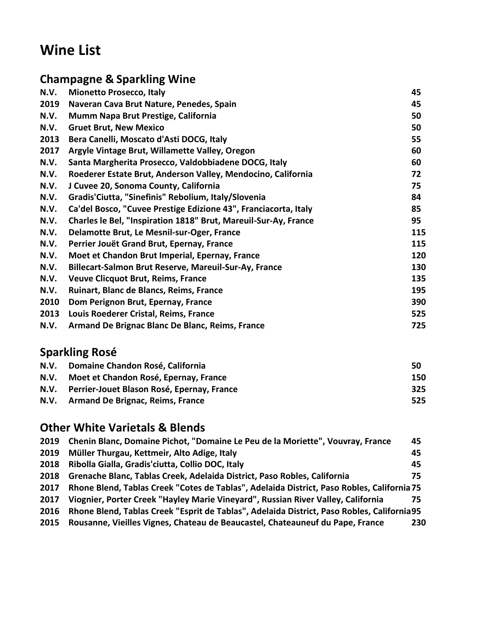# **Wine List**

## **Champagne & Sparkling Wine**

| N.V. | <b>Mionetto Prosecco, Italy</b>                                 | 45  |
|------|-----------------------------------------------------------------|-----|
| 2019 | Naveran Cava Brut Nature, Penedes, Spain                        | 45  |
| N.V. | Mumm Napa Brut Prestige, California                             | 50  |
| N.V. | <b>Gruet Brut, New Mexico</b>                                   | 50  |
| 2013 | Bera Canelli, Moscato d'Asti DOCG, Italy                        | 55  |
| 2017 | Argyle Vintage Brut, Willamette Valley, Oregon                  | 60  |
| N.V. | Santa Margherita Prosecco, Valdobbiadene DOCG, Italy            | 60  |
| N.V. | Roederer Estate Brut, Anderson Valley, Mendocino, California    | 72  |
| N.V. | J Cuvee 20, Sonoma County, California                           | 75  |
| N.V. | Gradis'Ciutta, "Sinefinis" Rebolium, Italy/Slovenia             | 84  |
| N.V. | Ca'del Bosco, "Cuvee Prestige Edizione 43", Franciacorta, Italy | 85  |
| N.V. | Charles le Bel, "Inspiration 1818" Brut, Mareuil-Sur-Ay, France | 95  |
| N.V. | Delamotte Brut, Le Mesnil-sur-Oger, France                      | 115 |
| N.V. | Perrier Jouët Grand Brut, Epernay, France                       | 115 |
| N.V. | Moet et Chandon Brut Imperial, Epernay, France                  | 120 |
| N.V. | Billecart-Salmon Brut Reserve, Mareuil-Sur-Ay, France           | 130 |
| N.V. | <b>Veuve Clicquot Brut, Reims, France</b>                       | 135 |
| N.V. | Ruinart, Blanc de Blancs, Reims, France                         | 195 |
| 2010 | Dom Perignon Brut, Epernay, France                              | 390 |
| 2013 | Louis Roederer Cristal, Reims, France                           | 525 |
| N.V. | Armand De Brignac Blanc De Blanc, Reims, France                 | 725 |
|      |                                                                 |     |

## **Sparkling Rosé**

| N.V. | Domaine Chandon Rosé, California           | 50  |
|------|--------------------------------------------|-----|
| N.V. | Moet et Chandon Rosé, Epernay, France      | 150 |
| N.V. | Perrier-Jouet Blason Rosé, Epernay, France | 325 |
| N.V. | <b>Armand De Brignac, Reims, France</b>    | 525 |

#### **Other White Varietals & Blends**

| 2019 | Chenin Blanc, Domaine Pichot, "Domaine Le Peu de la Moriette", Vouvray, France              | 45  |
|------|---------------------------------------------------------------------------------------------|-----|
| 2019 | Müller Thurgau, Kettmeir, Alto Adige, Italy                                                 | 45  |
| 2018 | Ribolla Gialla, Gradis' ciutta, Collio DOC, Italy                                           | 45  |
| 2018 | Grenache Blanc, Tablas Creek, Adelaida District, Paso Robles, California                    | 75  |
| 2017 | Rhone Blend, Tablas Creek "Cotes de Tablas", Adelaida District, Paso Robles, California 75  |     |
| 2017 | Viognier, Porter Creek "Hayley Marie Vineyard", Russian River Valley, California            | 75  |
| 2016 | Rhone Blend, Tablas Creek "Esprit de Tablas", Adelaida District, Paso Robles, California 95 |     |
| 2015 | Rousanne, Vieilles Vignes, Chateau de Beaucastel, Chateauneuf du Pape, France               | 230 |
|      |                                                                                             |     |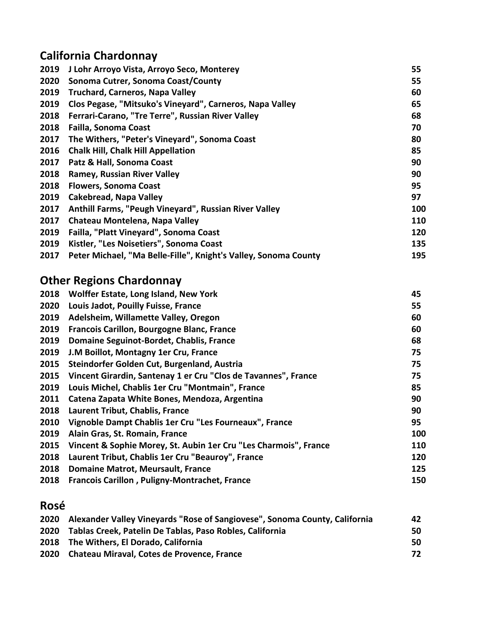# **California Chardonnay**

| J Lohr Arroyo Vista, Arroyo Seco, Monterey                      | 55  |
|-----------------------------------------------------------------|-----|
| Sonoma Cutrer, Sonoma Coast/County                              | 55  |
| <b>Truchard, Carneros, Napa Valley</b>                          | 60  |
| Clos Pegase, "Mitsuko's Vineyard", Carneros, Napa Valley        | 65  |
| Ferrari-Carano, "Tre Terre", Russian River Valley               | 68  |
| <b>Failla, Sonoma Coast</b>                                     | 70  |
| The Withers, "Peter's Vineyard", Sonoma Coast                   | 80  |
| <b>Chalk Hill, Chalk Hill Appellation</b>                       | 85  |
| Patz & Hall, Sonoma Coast                                       | 90  |
| <b>Ramey, Russian River Valley</b>                              | 90  |
| <b>Flowers, Sonoma Coast</b>                                    | 95  |
| <b>Cakebread, Napa Valley</b>                                   | 97  |
| Anthill Farms, "Peugh Vineyard", Russian River Valley           | 100 |
| Chateau Montelena, Napa Valley                                  | 110 |
| Failla, "Platt Vineyard", Sonoma Coast                          | 120 |
| Kistler, "Les Noisetiers", Sonoma Coast                         | 135 |
| Peter Michael, "Ma Belle-Fille", Knight's Valley, Sonoma County | 195 |
|                                                                 |     |

# **Other Regions Chardonnay**

| 2018 | Wolffer Estate, Long Island, New York                            | 45         |
|------|------------------------------------------------------------------|------------|
| 2020 | Louis Jadot, Pouilly Fuisse, France                              | 55         |
| 2019 | Adelsheim, Willamette Valley, Oregon                             | 60         |
| 2019 | Francois Carillon, Bourgogne Blanc, France                       | 60         |
| 2019 | Domaine Seguinot-Bordet, Chablis, France                         | 68         |
| 2019 | J.M Boillot, Montagny 1er Cru, France                            | 75         |
| 2015 | Steindorfer Golden Cut, Burgenland, Austria                      | 75         |
| 2015 | Vincent Girardin, Santenay 1 er Cru "Clos de Tavannes", France   | 75         |
| 2019 | Louis Michel, Chablis 1er Cru "Montmain", France                 | 85         |
| 2011 | Catena Zapata White Bones, Mendoza, Argentina                    | 90         |
| 2018 | Laurent Tribut, Chablis, France                                  | 90         |
| 2010 | Vignoble Dampt Chablis 1er Cru "Les Fourneaux", France           | 95         |
| 2019 | Alain Gras, St. Romain, France                                   | 100        |
| 2015 | Vincent & Sophie Morey, St. Aubin 1er Cru "Les Charmois", France | <b>110</b> |
| 2018 | Laurent Tribut, Chablis 1er Cru "Beauroy", France                | 120        |
| 2018 | <b>Domaine Matrot, Meursault, France</b>                         | 125        |
| 2018 | <b>Francois Carillon, Puligny-Montrachet, France</b>             | 150        |
|      |                                                                  |            |

# **Rosé**

| 2020 | Alexander Valley Vineyards "Rose of Sangiovese", Sonoma County, California | 42  |
|------|----------------------------------------------------------------------------|-----|
|      | 2020 Tablas Creek, Patelin De Tablas, Paso Robles, California              | 50  |
|      | 2018 The Withers, El Dorado, California                                    | 50. |
|      | 2020 Chateau Miraval, Cotes de Provence, France                            | 72  |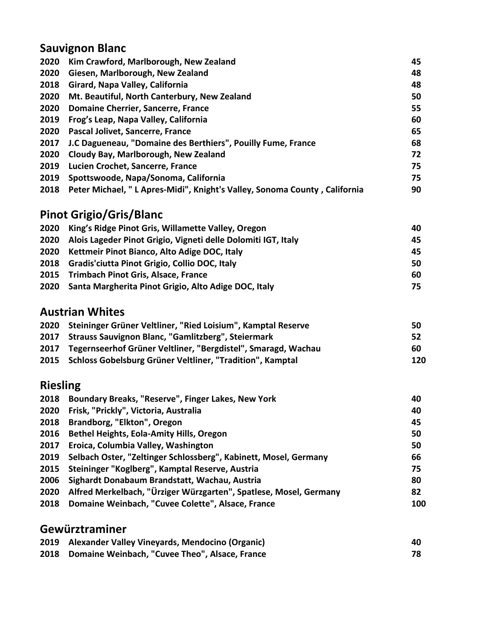# **Sauvignon Blanc**

| 2020 | Kim Crawford, Marlborough, New Zealand                                     | 45 |
|------|----------------------------------------------------------------------------|----|
| 2020 | Giesen, Marlborough, New Zealand                                           | 48 |
| 2018 | Girard, Napa Valley, California                                            | 48 |
| 2020 | Mt. Beautiful, North Canterbury, New Zealand                               | 50 |
| 2020 | Domaine Cherrier, Sancerre, France                                         | 55 |
| 2019 | Frog's Leap, Napa Valley, California                                       | 60 |
| 2020 | Pascal Jolivet, Sancerre, France                                           | 65 |
| 2017 | J.C Dagueneau, "Domaine des Berthiers", Pouilly Fume, France               | 68 |
| 2020 | Cloudy Bay, Marlborough, New Zealand                                       | 72 |
| 2019 | Lucien Crochet, Sancerre, France                                           | 75 |
| 2019 | Spottswoode, Napa/Sonoma, California                                       | 75 |
| 2018 | Peter Michael, " L Apres-Midi", Knight's Valley, Sonoma County, California | 90 |

# **Pinot Grigio/Gris/Blanc**

| 2020 King's Ridge Pinot Gris, Willamette Valley, Oregon            | 40. |
|--------------------------------------------------------------------|-----|
| 2020 Alois Lageder Pinot Grigio, Vigneti delle Dolomiti IGT, Italy | 45. |
| 2020 Kettmeir Pinot Bianco, Alto Adige DOC, Italy                  | 45  |
| 2018 Gradis' ciutta Pinot Grigio, Collio DOC, Italy                | 50  |
| 2015 Trimbach Pinot Gris, Alsace, France                           | 60  |
| 2020 Santa Margherita Pinot Grigio, Alto Adige DOC, Italy          | 75. |

#### **Austrian Whites**

| 2020 | Steininger Grüner Veltliner, "Ried Loisium", Kamptal Reserve       | 50  |
|------|--------------------------------------------------------------------|-----|
|      | 2017 Strauss Sauvignon Blanc, "Gamlitzberg", Steiermark            | -52 |
|      | 2017 Tegernseerhof Grüner Veltliner, "Bergdistel", Smaragd, Wachau | 60  |
|      | 2015 Schloss Gobelsburg Grüner Veltliner, "Tradition", Kamptal     | 120 |
|      |                                                                    |     |

## **Riesling**

| 2018 | Boundary Breaks, "Reserve", Finger Lakes, New York                | 40  |
|------|-------------------------------------------------------------------|-----|
| 2020 | Frisk, "Prickly", Victoria, Australia                             | 40  |
| 2018 | Brandborg, "Elkton", Oregon                                       | 45  |
|      | 2016 Bethel Heights, Eola-Amity Hills, Oregon                     | 50  |
|      | 2017 Eroica, Columbia Valley, Washington                          | 50  |
| 2019 | Selbach Oster, "Zeltinger Schlossberg", Kabinett, Mosel, Germany  | 66  |
|      | 2015 Steininger "Koglberg", Kamptal Reserve, Austria              | 75  |
| 2006 | Sighardt Donabaum Brandstatt, Wachau, Austria                     | 80  |
| 2020 | Alfred Merkelbach, "Ürziger Würzgarten", Spatlese, Mosel, Germany | 82  |
| 2018 | Domaine Weinbach, "Cuvee Colette", Alsace, France                 | 100 |
|      |                                                                   |     |

#### **Gewürztraminer**

| 2019 Alexander Valley Vineyards, Mendocino (Organic) | 40 |
|------------------------------------------------------|----|
| 2018 Domaine Weinbach, "Cuvee Theo", Alsace, France  |    |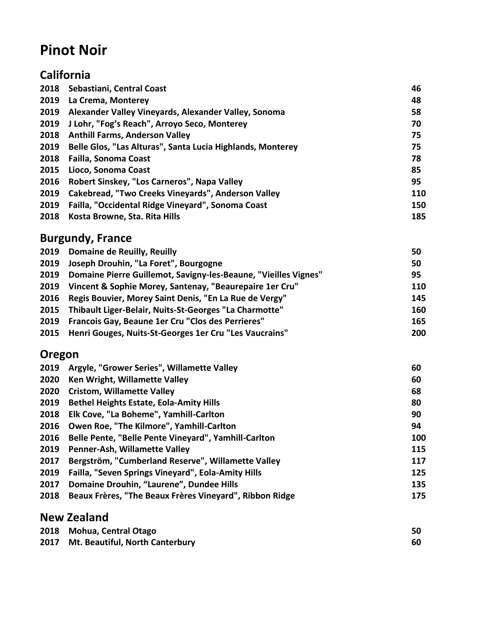# **Pinot Noir**

|      | California                                                 |     |
|------|------------------------------------------------------------|-----|
| 2018 | Sebastiani, Central Coast                                  | 46  |
| 2019 | La Crema, Monterey                                         | 48  |
| 2019 | Alexander Valley Vineyards, Alexander Valley, Sonoma       | 58  |
| 2019 | J Lohr, "Fog's Reach", Arroyo Seco, Monterey               | 70  |
| 2018 | <b>Anthill Farms, Anderson Valley</b>                      | 75  |
| 2019 | Belle Glos, "Las Alturas", Santa Lucia Highlands, Monterey | 75  |
| 2018 | <b>Failla, Sonoma Coast</b>                                | 78  |
| 2015 | Lioco, Sonoma Coast                                        | 85  |
| 2016 | Robert Sinskey, "Los Carneros", Napa Valley                | 95  |
| 2019 | Cakebread, "Two Creeks Vineyards", Anderson Valley         | 110 |
| 2019 | Failla, "Occidental Ridge Vineyard", Sonoma Coast          | 150 |
| 2018 | Kosta Browne, Sta. Rita Hills                              | 185 |

#### **Burgundy, France**

| 2019 Domaine de Reuilly, Reuilly                                     | 50  |
|----------------------------------------------------------------------|-----|
| 2019 Joseph Drouhin, "La Foret", Bourgogne                           | 50  |
| 2019 Domaine Pierre Guillemot, Savigny-les-Beaune, "Vieilles Vignes" | 95  |
| 2019 Vincent & Sophie Morey, Santenay, "Beaurepaire 1er Cru"         | 110 |
| 2016 Regis Bouvier, Morey Saint Denis, "En La Rue de Vergy"          | 145 |
| 2015 Thibault Liger-Belair, Nuits-St-Georges "La Charmotte"          | 160 |
| 2019 Francois Gay, Beaune 1er Cru "Clos des Perrieres"               | 165 |
| 2015 Henri Gouges, Nuits-St-Georges 1er Cru "Les Vaucrains"          | 200 |

## **Oregon**

| 2019 | Argyle, "Grower Series", Willamette Valley              | 60  |
|------|---------------------------------------------------------|-----|
| 2020 | Ken Wright, Willamette Valley                           | 60  |
| 2020 | <b>Cristom, Willamette Valley</b>                       | 68  |
| 2019 | <b>Bethel Heights Estate, Eola-Amity Hills</b>          | 80  |
| 2018 | Elk Cove, "La Boheme", Yamhill-Carlton                  | 90  |
| 2016 | Owen Roe, "The Kilmore", Yamhill-Carlton                | 94  |
| 2016 | Belle Pente, "Belle Pente Vineyard", Yamhill-Carlton    | 100 |
| 2019 | <b>Penner-Ash, Willamette Valley</b>                    | 115 |
| 2017 | Bergström, "Cumberland Reserve", Willamette Valley      | 117 |
| 2019 | Failla, "Seven Springs Vineyard", Eola-Amity Hills      | 125 |
| 2017 | Domaine Drouhin, "Laurene", Dundee Hills                | 135 |
| 2018 | Beaux Frères, "The Beaux Frères Vineyard", Ribbon Ridge | 175 |

#### **New Zealand**

| 2018 Mohua, Central Otago            | 50 |
|--------------------------------------|----|
| 2017 Mt. Beautiful, North Canterbury | 60 |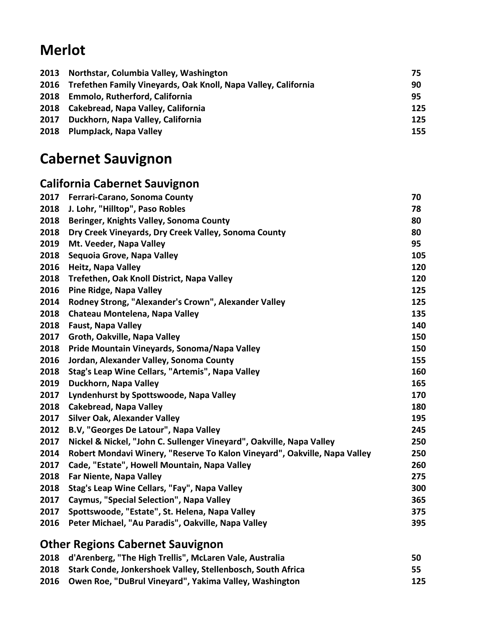# **Merlot**

| 2013 Northstar, Columbia Valley, Washington                         | 75  |
|---------------------------------------------------------------------|-----|
| 2016 Trefethen Family Vineyards, Oak Knoll, Napa Valley, California | 90  |
| 2018 Emmolo, Rutherford, California                                 | 95  |
| 2018 Cakebread, Napa Valley, California                             | 125 |
| 2017 Duckhorn, Napa Valley, California                              | 125 |
| 2018 PlumpJack, Napa Valley                                         | 155 |
|                                                                     |     |

# **Cabernet Sauvignon**

## **California Cabernet Sauvignon**

| 2017 | <b>Ferrari-Carano, Sonoma County</b>                                      | 70  |
|------|---------------------------------------------------------------------------|-----|
| 2018 | J. Lohr, "Hilltop", Paso Robles                                           | 78  |
| 2018 | Beringer, Knights Valley, Sonoma County                                   | 80  |
| 2018 | Dry Creek Vineyards, Dry Creek Valley, Sonoma County                      | 80  |
| 2019 | Mt. Veeder, Napa Valley                                                   | 95  |
| 2018 | Sequoia Grove, Napa Valley                                                | 105 |
| 2016 | Heitz, Napa Valley                                                        | 120 |
| 2018 | Trefethen, Oak Knoll District, Napa Valley                                | 120 |
| 2016 | <b>Pine Ridge, Napa Valley</b>                                            | 125 |
| 2014 | Rodney Strong, "Alexander's Crown", Alexander Valley                      | 125 |
| 2018 | Chateau Montelena, Napa Valley                                            | 135 |
| 2018 | <b>Faust, Napa Valley</b>                                                 | 140 |
| 2017 | Groth, Oakville, Napa Valley                                              | 150 |
| 2018 | Pride Mountain Vineyards, Sonoma/Napa Valley                              | 150 |
| 2016 | Jordan, Alexander Valley, Sonoma County                                   | 155 |
| 2018 | Stag's Leap Wine Cellars, "Artemis", Napa Valley                          | 160 |
| 2019 | Duckhorn, Napa Valley                                                     | 165 |
| 2017 | Lyndenhurst by Spottswoode, Napa Valley                                   | 170 |
| 2018 | <b>Cakebread, Napa Valley</b>                                             | 180 |
| 2017 | <b>Silver Oak, Alexander Valley</b>                                       | 195 |
| 2012 | B.V, "Georges De Latour", Napa Valley                                     | 245 |
| 2017 | Nickel & Nickel, "John C. Sullenger Vineyard", Oakville, Napa Valley      | 250 |
| 2014 | Robert Mondavi Winery, "Reserve To Kalon Vineyard", Oakville, Napa Valley | 250 |
| 2017 | Cade, "Estate", Howell Mountain, Napa Valley                              | 260 |
| 2018 | Far Niente, Napa Valley                                                   | 275 |
| 2018 | Stag's Leap Wine Cellars, "Fay", Napa Valley                              | 300 |
| 2017 | <b>Caymus, "Special Selection", Napa Valley</b>                           | 365 |
| 2017 | Spottswoode, "Estate", St. Helena, Napa Valley                            | 375 |
| 2016 | Peter Michael, "Au Paradis", Oakville, Napa Valley                        | 395 |
|      |                                                                           |     |

## **Other Regions Cabernet Sauvignon**

| 2018 d'Arenberg, "The High Trellis", McLaren Vale, Australia     | 50  |
|------------------------------------------------------------------|-----|
| 2018 Stark Conde, Jonkershoek Valley, Stellenbosch, South Africa | 55  |
| 2016 Owen Roe, "DuBrul Vineyard", Yakima Valley, Washington      | 125 |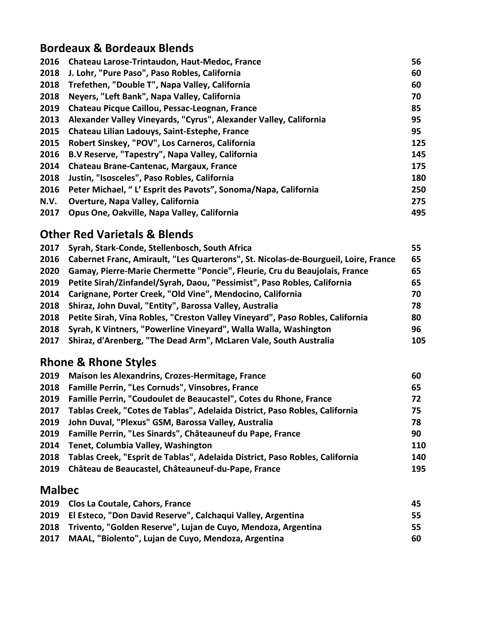## **Bordeaux & Bordeaux Blends**

| 2016 | Chateau Larose-Trintaudon, Haut-Medoc, France                     | 56  |
|------|-------------------------------------------------------------------|-----|
| 2018 | J. Lohr, "Pure Paso", Paso Robles, California                     | 60  |
| 2018 | Trefethen, "Double T", Napa Valley, California                    | 60  |
| 2018 | Neyers, "Left Bank", Napa Valley, California                      | 70  |
| 2019 | Chateau Picque Caillou, Pessac-Leognan, France                    | 85  |
| 2013 | Alexander Valley Vineyards, "Cyrus", Alexander Valley, California | 95  |
| 2015 | Chateau Lilian Ladouys, Saint-Estephe, France                     | 95  |
| 2015 | Robert Sinskey, "POV", Los Carneros, California                   | 125 |
| 2016 | B.V Reserve, "Tapestry", Napa Valley, California                  | 145 |
| 2014 | Chateau Brane-Cantenac, Margaux, France                           | 175 |
| 2018 | Justin, "Isosceles", Paso Robles, California                      | 180 |
| 2016 | Peter Michael, " L' Esprit des Pavots", Sonoma/Napa, California   | 250 |
| N.V. | <b>Overture, Napa Valley, California</b>                          | 275 |
| 2017 | Opus One, Oakville, Napa Valley, California                       | 495 |

#### **Other Red Varietals & Blends**

| Syrah, Stark-Conde, Stellenbosch, South Africa<br>2017                                   | 55  |
|------------------------------------------------------------------------------------------|-----|
| 2016 Cabernet Franc, Amirault, "Les Quarterons", St. Nicolas-de-Bourgueil, Loire, France | 65  |
| Gamay, Pierre-Marie Chermette "Poncie", Fleurie, Cru du Beaujolais, France               | 65  |
| 2019 Petite Sirah/Zinfandel/Syrah, Daou, "Pessimist", Paso Robles, California            | 65  |
| 2014 Carignane, Porter Creek, "Old Vine", Mendocino, California                          | 70  |
| 2018 Shiraz, John Duval, "Entity", Barossa Valley, Australia                             | 78  |
| 2018 Petite Sirah, Vina Robles, "Creston Valley Vineyard", Paso Robles, California       | 80  |
| Syrah, K Vintners, "Powerline Vineyard", Walla Walla, Washington                         | 96  |
| Shiraz, d'Arenberg, "The Dead Arm", McLaren Vale, South Australia                        | 105 |
|                                                                                          |     |

## **Rhone & Rhone Styles**

| 2019 Maison les Alexandrins, Crozes-Hermitage, France                             | 60  |
|-----------------------------------------------------------------------------------|-----|
| 2018 Famille Perrin, "Les Cornuds", Vinsobres, France                             | 65  |
| 2019 Famille Perrin, "Coudoulet de Beaucastel", Cotes du Rhone, France            | 72  |
| 2017 Tablas Creek, "Cotes de Tablas", Adelaida District, Paso Robles, California  | 75  |
| 2019 John Duval, "Plexus" GSM, Barossa Valley, Australia                          | 78  |
| 2019 Famille Perrin, "Les Sinards", Châteauneuf du Pape, France                   | 90  |
| 2014 Tenet, Columbia Valley, Washington                                           | 110 |
| 2018 Tablas Creek, "Esprit de Tablas", Adelaida District, Paso Robles, California | 140 |
| 2019 Château de Beaucastel, Châteauneuf-du-Pape, France                           | 195 |
|                                                                                   |     |

## **Malbec**

|      | 2019 Clos La Coutale, Cahors, France                               | 45. |
|------|--------------------------------------------------------------------|-----|
|      | 2019 El Esteco, "Don David Reserve", Calchagui Valley, Argentina   | 55. |
|      | 2018 Trivento, "Golden Reserve", Lujan de Cuyo, Mendoza, Argentina | 55. |
| 2017 | MAAL, "Biolento", Lujan de Cuyo, Mendoza, Argentina                | 60  |
|      |                                                                    |     |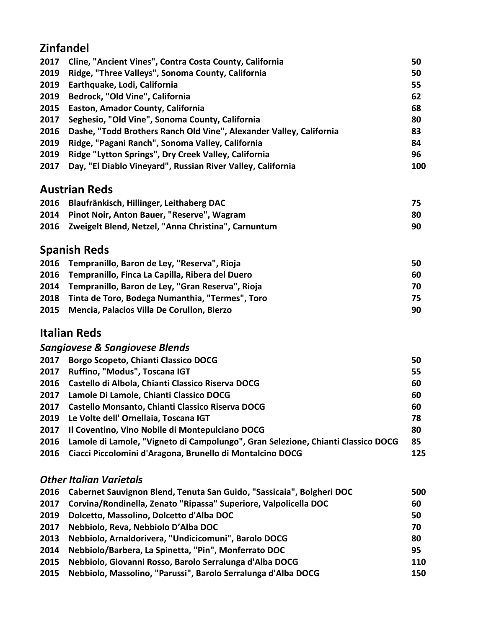#### **Zinfandel**

|      | 2017 Cline, "Ancient Vines", Contra Costa County, California             | 50  |
|------|--------------------------------------------------------------------------|-----|
| 2019 | Ridge, "Three Valleys", Sonoma County, California                        | 50  |
|      | 2019 Earthquake, Lodi, California                                        | 55  |
|      | 2019 Bedrock, "Old Vine", California                                     | 62  |
|      | 2015 Easton, Amador County, California                                   | 68  |
| 2017 | Seghesio, "Old Vine", Sonoma County, California                          | 80  |
|      | 2016 Dashe, "Todd Brothers Ranch Old Vine", Alexander Valley, California | 83  |
| 2019 | Ridge, "Pagani Ranch", Sonoma Valley, California                         | 84  |
| 2019 | Ridge "Lytton Springs", Dry Creek Valley, California                     | 96  |
| 2017 | Day, "El Diablo Vineyard", Russian River Valley, California              | 100 |

#### **Austrian Reds**

| 2016 Blaufränkisch, Hillinger, Leithaberg DAC            | 75. |
|----------------------------------------------------------|-----|
| 2014 Pinot Noir, Anton Bauer, "Reserve", Wagram          | 80  |
| 2016 Zweigelt Blend, Netzel, "Anna Christina", Carnuntum | 90  |

## **Spanish Reds**

| 2016 Tempranillo, Baron de Ley, "Reserva", Rioja      | 50. |
|-------------------------------------------------------|-----|
| 2016 Tempranillo, Finca La Capilla, Ribera del Duero  | 60  |
| 2014 Tempranillo, Baron de Ley, "Gran Reserva", Rioja | 70. |
| 2018 Tinta de Toro, Bodega Numanthia, "Termes", Toro  | 75. |
| 2015 Mencia, Palacios Villa De Corullon, Bierzo       | 90  |

#### **Italian Reds**

|  | <b>Sangiovese &amp; Sangiovese Blends</b>                                                                                                                                                                                                                                                                                                                                                                               |  |
|--|-------------------------------------------------------------------------------------------------------------------------------------------------------------------------------------------------------------------------------------------------------------------------------------------------------------------------------------------------------------------------------------------------------------------------|--|
|  | $\mathbf{A} \mathbf{A} \mathbf{A} = \mathbf{B} \mathbf{A} \mathbf{A} + \mathbf{B} \mathbf{A} \mathbf{A} + \mathbf{B} \mathbf{A} + \mathbf{B} \mathbf{A} + \mathbf{B} \mathbf{A} + \mathbf{B} \mathbf{A} + \mathbf{B} \mathbf{A} + \mathbf{B} \mathbf{A} + \mathbf{B} \mathbf{A} + \mathbf{B} \mathbf{A} + \mathbf{B} \mathbf{A} + \mathbf{B} \mathbf{A} + \mathbf{B} \mathbf{A} + \mathbf{B} \mathbf{A} + \mathbf{B} \$ |  |

| 2017 | Borgo Scopeto, Chianti Classico DOCG                                                  | 50  |
|------|---------------------------------------------------------------------------------------|-----|
| 2017 | Ruffino, "Modus", Toscana IGT                                                         | 55  |
|      | 2016 Castello di Albola, Chianti Classico Riserva DOCG                                | 60  |
|      | 2017 Lamole Di Lamole, Chianti Classico DOCG                                          | 60  |
|      | 2017 Castello Monsanto, Chianti Classico Riserva DOCG                                 | 60  |
|      | 2019 Le Volte dell' Ornellaia, Toscana IGT                                            | 78  |
|      | 2017 Il Coventino, Vino Nobile di Montepulciano DOCG                                  | 80  |
|      | 2016 Lamole di Lamole, "Vigneto di Campolungo", Gran Selezione, Chianti Classico DOCG | 85  |
|      | 2016 Ciacci Piccolomini d'Aragona, Brunello di Montalcino DOCG                        | 125 |

#### *Other Italian Varietals*

|      | 2016 Cabernet Sauvignon Blend, Tenuta San Guido, "Sassicaia", Bolgheri DOC | 500 |
|------|----------------------------------------------------------------------------|-----|
|      | 2017 Corvina/Rondinella, Zenato "Ripassa" Superiore, Valpolicella DOC      | 60  |
| 2019 | Dolcetto, Massolino, Dolcetto d'Alba DOC                                   | 50  |
| 2017 | Nebbiolo, Reva, Nebbiolo D'Alba DOC                                        | 70  |
| 2013 | Nebbiolo, Arnaldorivera, "Undicicomuni", Barolo DOCG                       | 80  |
| 2014 | Nebbiolo/Barbera, La Spinetta, "Pin", Monferrato DOC                       | 95  |
| 2015 | Nebbiolo, Giovanni Rosso, Barolo Serralunga d'Alba DOCG                    | 110 |
| 2015 | Nebbiolo, Massolino, "Parussi", Barolo Serralunga d'Alba DOCG              | 150 |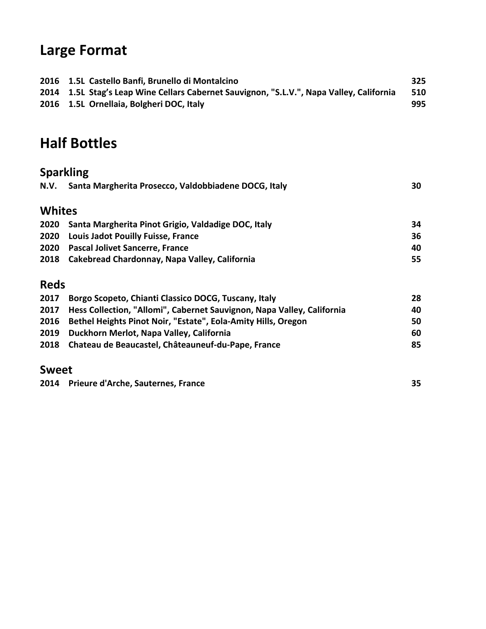# **Large Format**

| 2016 1.5L Castello Banfi, Brunello di Montalcino                                         | 325 |
|------------------------------------------------------------------------------------------|-----|
| 2014 1.5L Stag's Leap Wine Cellars Cabernet Sauvignon, "S.L.V.", Napa Valley, California | 510 |
| 2016 1.5L Ornellaia, Bolgheri DOC, Italy                                                 | 995 |

# **Half Bottles**

| <b>Sparkling</b> |                                                                        |    |
|------------------|------------------------------------------------------------------------|----|
| N.V.             | Santa Margherita Prosecco, Valdobbiadene DOCG, Italy                   | 30 |
| <b>Whites</b>    |                                                                        |    |
| 2020             | Santa Margherita Pinot Grigio, Valdadige DOC, Italy                    | 34 |
| 2020             | <b>Louis Jadot Pouilly Fuisse, France</b>                              | 36 |
| 2020             | <b>Pascal Jolivet Sancerre, France</b>                                 | 40 |
| 2018             | Cakebread Chardonnay, Napa Valley, California                          | 55 |
| <b>Reds</b>      |                                                                        |    |
| 2017             | Borgo Scopeto, Chianti Classico DOCG, Tuscany, Italy                   | 28 |
| 2017             | Hess Collection, "Allomi", Cabernet Sauvignon, Napa Valley, California | 40 |
| 2016             | Bethel Heights Pinot Noir, "Estate", Eola-Amity Hills, Oregon          | 50 |
| 2019             | Duckhorn Merlot, Napa Valley, California                               | 60 |
| 2018             | Chateau de Beaucastel, Châteauneuf-du-Pape, France                     | 85 |

### **Sweet**

| 2014 Prieure d'Arche, Sauternes, France |  |
|-----------------------------------------|--|
|                                         |  |